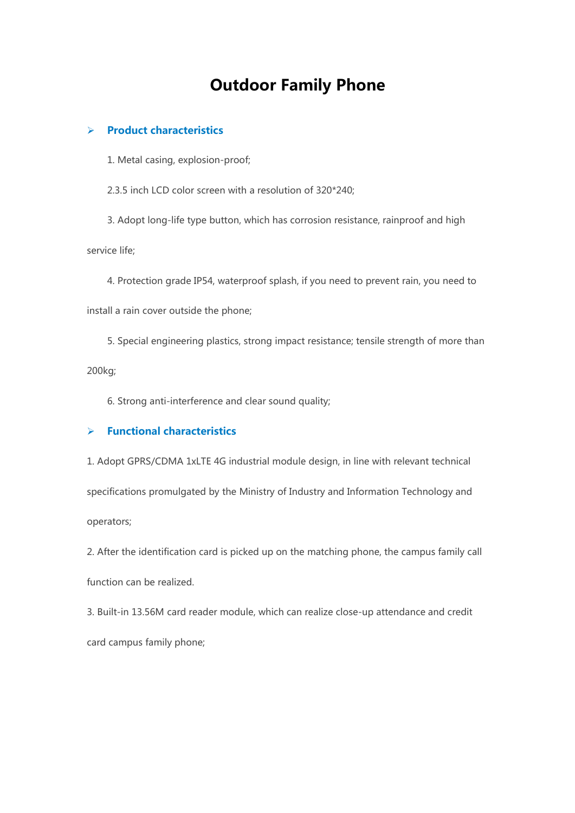## **Outdoor Family Phone**

## **Product characteristics**

1. Metal casing, explosion-proof;

2.3.5 inch LCD color screen with a resolution of 320\*240;

3. Adopt long-life type button, which has corrosion resistance, rainproof and high

service life;

4. Protection grade IP54, waterproof splash, if you need to prevent rain, you need to

install a rain cover outside the phone;

5. Special engineering plastics, strong impact resistance; tensile strength of more than 200kg;

6. Strong anti-interference and clear sound quality;

## **Functional characteristics**

1. Adopt GPRS/CDMA 1xLTE 4G industrial module design, in line with relevant technical specifications promulgated by the Ministry of Industry and Information Technology and operators;

2. After the identification card is picked up on the matching phone, the campus family call function can be realized.

3. Built-in 13.56M card reader module, which can realize close-up attendance and credit card campus family phone;